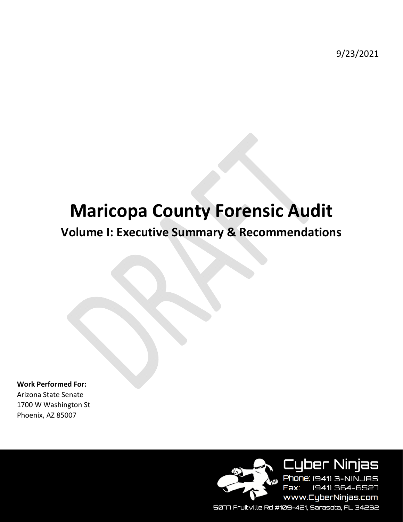9/23/2021

# **Maricopa County Forensic Audit**

# **Volume I: Executive Summary & Recommendations**

**Work Performed For:** Arizona State Senate 1700 W Washington St Phoenix, AZ 85007



**Cyber Ninjas** Phone: (941) 3-NINJAS Fax: (941) 364-6527 www.CyberNinjas.com

5077 Fruitville Rd #109-421, Sarasota, FL 34232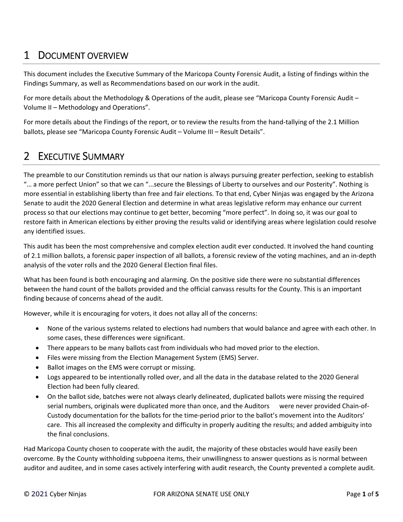# 1 DOCUMENT OVERVIEW

This document includes the Executive Summary of the Maricopa County Forensic Audit, a listing of findings within the Findings Summary, as well as Recommendations based on our work in the audit.

For more details about the Methodology & Operations of the audit, please see "Maricopa County Forensic Audit – Volume II – Methodology and Operations".

For more details about the Findings of the report, or to review the results from the hand-tallying of the 2.1 Million ballots, please see "Maricopa County Forensic Audit – Volume III – Result Details".

# 2 EXECUTIVE SUMMARY

The preamble to our Constitution reminds us that our nation is always pursuing greater perfection, seeking to establish "… a more perfect Union" so that we can "...secure the Blessings of Liberty to ourselves and our Posterity". Nothing is more essential in establishing liberty than free and fair elections. To that end, Cyber Ninjas was engaged by the Arizona Senate to audit the 2020 General Election and determine in what areas legislative reform may enhance our current process so that our elections may continue to get better, becoming "more perfect". In doing so, it was our goal to restore faith in American elections by either proving the results valid or identifying areas where legislation could resolve any identified issues.

This audit has been the most comprehensive and complex election audit ever conducted. It involved the hand counting of 2.1 million ballots, a forensic paper inspection of all ballots, a forensic review of the voting machines, and an in‐depth analysis of the voter rolls and the 2020 General Election final files.

What has been found is both encouraging and alarming. On the positive side there were no substantial differences between the hand count of the ballots provided and the official canvass results for the County. This is an important finding because of concerns ahead of the audit.

However, while it is encouraging for voters, it does not allay all of the concerns:

- None of the various systems related to elections had numbers that would balance and agree with each other. In some cases, these differences were significant.
- There appears to be many ballots cast from individuals who had moved prior to the election.
- Files were missing from the Election Management System (EMS) Server.
- Ballot images on the EMS were corrupt or missing.
- Logs appeared to be intentionally rolled over, and all the data in the database related to the 2020 General Election had been fully cleared.
- On the ballot side, batches were not always clearly delineated, duplicated ballots were missing the required serial numbers, originals were duplicated more than once, and the Auditors were never provided Chain-of-Custody documentation for the ballots for the time‐period prior to the ballot's movement into the Auditors' care. This all increased the complexity and difficulty in properly auditing the results; and added ambiguity into the final conclusions.

Had Maricopa County chosen to cooperate with the audit, the majority of these obstacles would have easily been overcome. By the County withholding subpoena items, their unwillingness to answer questions as is normal between auditor and auditee, and in some cases actively interfering with audit research, the County prevented a complete audit.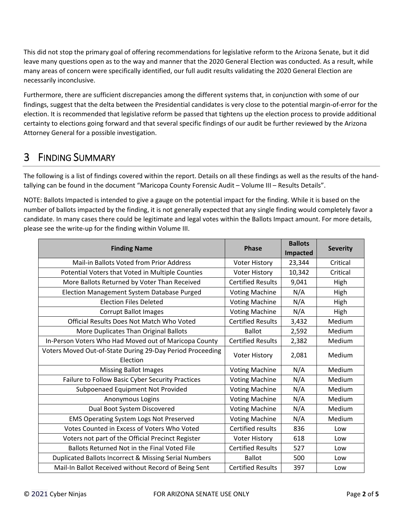This did not stop the primary goal of offering recommendations for legislative reform to the Arizona Senate, but it did leave many questions open as to the way and manner that the 2020 General Election was conducted. As a result, while many areas of concern were specifically identified, our full audit results validating the 2020 General Election are necessarily inconclusive.

Furthermore, there are sufficient discrepancies among the different systems that, in conjunction with some of our findings, suggest that the delta between the Presidential candidates is very close to the potential margin-of-error for the election. It is recommended that legislative reform be passed that tightens up the election process to provide additional certainty to elections going forward and that several specific findings of our audit be further reviewed by the Arizona Attorney General for a possible investigation.

# 3 FINDING SUMMARY

The following is a list of findings covered within the report. Details on all these findings as well as the results of the hand‐ tallying can be found in the document "Maricopa County Forensic Audit – Volume III – Results Details".

NOTE: Ballots Impacted is intended to give a gauge on the potential impact for the finding. While it is based on the number of ballots impacted by the finding, it is not generally expected that any single finding would completely favor a candidate. In many cases there could be legitimate and legal votes within the Ballots Impact amount. For more details, please see the write‐up for the finding within Volume III.

|                                                           | <b>Phase</b>             | <b>Ballots</b> | <b>Severity</b> |
|-----------------------------------------------------------|--------------------------|----------------|-----------------|
| <b>Finding Name</b>                                       |                          | Impacted       |                 |
| Mail-in Ballots Voted from Prior Address                  | <b>Voter History</b>     | 23,344         | Critical        |
| Potential Voters that Voted in Multiple Counties          | <b>Voter History</b>     | 10,342         | Critical        |
| More Ballots Returned by Voter Than Received              | <b>Certified Results</b> | 9,041          | High            |
| Election Management System Database Purged                | <b>Voting Machine</b>    | N/A            | High            |
| <b>Election Files Deleted</b>                             | <b>Voting Machine</b>    | N/A            | High            |
| <b>Corrupt Ballot Images</b>                              | <b>Voting Machine</b>    | N/A            | High            |
| Official Results Does Not Match Who Voted                 | <b>Certified Results</b> | 3,432          | Medium          |
| More Duplicates Than Original Ballots                     | <b>Ballot</b>            | 2,592          | Medium          |
| In-Person Voters Who Had Moved out of Maricopa County     | <b>Certified Results</b> | 2,382          | Medium          |
| Voters Moved Out-of-State During 29-Day Period Proceeding | <b>Voter History</b>     | 2,081          | Medium          |
| Election                                                  |                          |                |                 |
| <b>Missing Ballot Images</b>                              | <b>Voting Machine</b>    | N/A            | Medium          |
| Failure to Follow Basic Cyber Security Practices          | <b>Voting Machine</b>    | N/A            | Medium          |
| Subpoenaed Equipment Not Provided                         | <b>Voting Machine</b>    | N/A            | Medium          |
| Anonymous Logins                                          | <b>Voting Machine</b>    | N/A            | Medium          |
| Dual Boot System Discovered                               | <b>Voting Machine</b>    | N/A            | Medium          |
| <b>EMS Operating System Logs Not Preserved</b>            | <b>Voting Machine</b>    | N/A            | Medium          |
| Votes Counted in Excess of Voters Who Voted               | Certified results        | 836            | Low             |
| Voters not part of the Official Precinct Register         | <b>Voter History</b>     | 618            | Low             |
| Ballots Returned Not in the Final Voted File              | <b>Certified Results</b> | 527            | Low             |
| Duplicated Ballots Incorrect & Missing Serial Numbers     | <b>Ballot</b>            | 500            | Low             |
| Mail-In Ballot Received without Record of Being Sent      | <b>Certified Results</b> | 397            | Low             |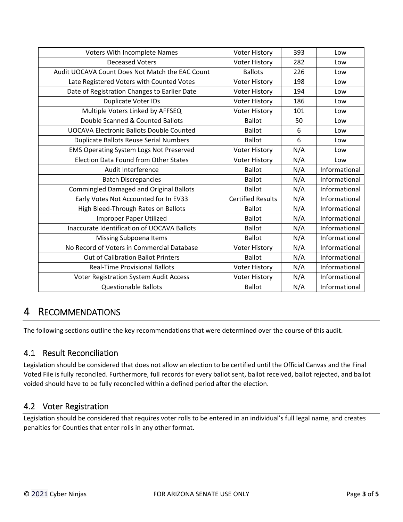| Voters With Incomplete Names                    | <b>Voter History</b>     | 393 | Low           |
|-------------------------------------------------|--------------------------|-----|---------------|
| <b>Deceased Voters</b>                          | <b>Voter History</b>     | 282 | Low           |
| Audit UOCAVA Count Does Not Match the EAC Count | <b>Ballots</b>           | 226 | Low           |
| Late Registered Voters with Counted Votes       | <b>Voter History</b>     | 198 | Low           |
| Date of Registration Changes to Earlier Date    | <b>Voter History</b>     | 194 | Low           |
| Duplicate Voter IDs                             | <b>Voter History</b>     | 186 | Low           |
| Multiple Voters Linked by AFFSEQ                | <b>Voter History</b>     | 101 | Low           |
| Double Scanned & Counted Ballots                | <b>Ballot</b>            | 50  | Low           |
| <b>UOCAVA Electronic Ballots Double Counted</b> | <b>Ballot</b>            | 6   | Low           |
| <b>Duplicate Ballots Reuse Serial Numbers</b>   | <b>Ballot</b>            | 6   | Low           |
| <b>EMS Operating System Logs Not Preserved</b>  | Voter History            | N/A | Low           |
| <b>Election Data Found from Other States</b>    | <b>Voter History</b>     | N/A | Low           |
| Audit Interference                              | <b>Ballot</b>            | N/A | Informational |
| <b>Batch Discrepancies</b>                      | <b>Ballot</b>            | N/A | Informational |
| <b>Commingled Damaged and Original Ballots</b>  | <b>Ballot</b>            | N/A | Informational |
| Early Votes Not Accounted for In EV33           | <b>Certified Results</b> | N/A | Informational |
| High Bleed-Through Rates on Ballots             | <b>Ballot</b>            | N/A | Informational |
| Improper Paper Utilized                         | <b>Ballot</b>            | N/A | Informational |
| Inaccurate Identification of UOCAVA Ballots     | <b>Ballot</b>            | N/A | Informational |
| Missing Subpoena Items                          | <b>Ballot</b>            | N/A | Informational |
| No Record of Voters in Commercial Database      | <b>Voter History</b>     | N/A | Informational |
| <b>Out of Calibration Ballot Printers</b>       | <b>Ballot</b>            | N/A | Informational |
| <b>Real-Time Provisional Ballots</b>            | <b>Voter History</b>     | N/A | Informational |
| Voter Registration System Audit Access          | <b>Voter History</b>     | N/A | Informational |
| <b>Questionable Ballots</b>                     | <b>Ballot</b>            | N/A | Informational |

# 4 RECOMMENDATIONS

The following sections outline the key recommendations that were determined over the course of this audit.

## 4.1 Result Reconciliation

Legislation should be considered that does not allow an election to be certified until the Official Canvas and the Final Voted File is fully reconciled. Furthermore, full records for every ballot sent, ballot received, ballot rejected, and ballot voided should have to be fully reconciled within a defined period after the election.

## 4.2 Voter Registration

Legislation should be considered that requires voter rolls to be entered in an individual's full legal name, and creates penalties for Counties that enter rolls in any other format.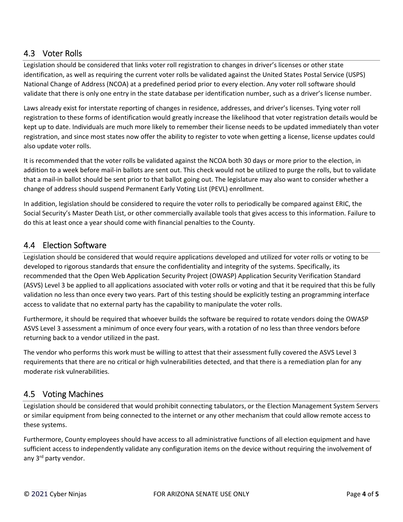## 4.3 Voter Rolls

Legislation should be considered that links voter roll registration to changes in driver's licenses or other state identification, as well as requiring the current voter rolls be validated against the United States Postal Service (USPS) National Change of Address (NCOA) at a predefined period prior to every election. Any voter roll software should validate that there is only one entry in the state database per identification number, such as a driver's license number.

Laws already exist for interstate reporting of changes in residence, addresses, and driver's licenses. Tying voter roll registration to these forms of identification would greatly increase the likelihood that voter registration details would be kept up to date. Individuals are much more likely to remember their license needs to be updated immediately than voter registration, and since most states now offer the ability to register to vote when getting a license, license updates could also update voter rolls.

It is recommended that the voter rolls be validated against the NCOA both 30 days or more prior to the election, in addition to a week before mail‐in ballots are sent out. This check would not be utilized to purge the rolls, but to validate that a mail‐in ballot should be sent prior to that ballot going out. The legislature may also want to consider whether a change of address should suspend Permanent Early Voting List (PEVL) enrollment.

In addition, legislation should be considered to require the voter rolls to periodically be compared against ERIC, the Social Security's Master Death List, or other commercially available tools that gives access to this information. Failure to do this at least once a year should come with financial penalties to the County.

## 4.4 Election Software

Legislation should be considered that would require applications developed and utilized for voter rolls or voting to be developed to rigorous standards that ensure the confidentiality and integrity of the systems. Specifically, its recommended that the Open Web Application Security Project (OWASP) Application Security Verification Standard (ASVS) Level 3 be applied to all applications associated with voter rolls or voting and that it be required that this be fully validation no less than once every two years. Part of this testing should be explicitly testing an programming interface access to validate that no external party has the capability to manipulate the voter rolls.

Furthermore, it should be required that whoever builds the software be required to rotate vendors doing the OWASP ASVS Level 3 assessment a minimum of once every four years, with a rotation of no less than three vendors before returning back to a vendor utilized in the past.

The vendor who performs this work must be willing to attest that their assessment fully covered the ASVS Level 3 requirements that there are no critical or high vulnerabilities detected, and that there is a remediation plan for any moderate risk vulnerabilities.

#### 4.5 Voting Machines

Legislation should be considered that would prohibit connecting tabulators, or the Election Management System Servers or similar equipment from being connected to the internet or any other mechanism that could allow remote access to these systems.

Furthermore, County employees should have access to all administrative functions of all election equipment and have sufficient access to independently validate any configuration items on the device without requiring the involvement of any 3<sup>rd</sup> party vendor.